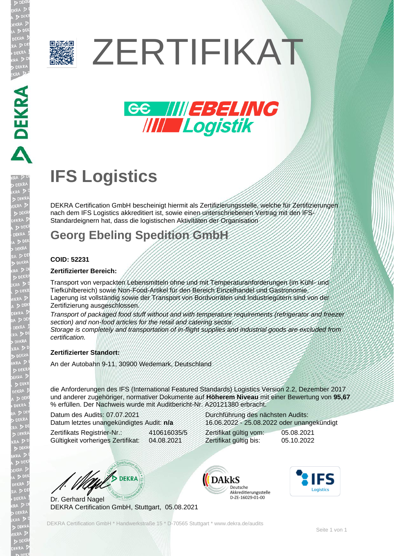

# ZERTIFIKAT



## **IFS Logistics**

DEKRA Certification GmbH bescheinigt hiermit als Zertifizierungsstelle, welche für Zertifizierungen nach dem IFS Logistics akkreditiert ist, sowie einen unterschriebenen Vertrag mit den IFS-Standardeignern hat, dass die logistischen Aktivitäten der Organisation

## **Georg Ebeling Spedition GmbH**

## **COID: 52231**

### **Zertifizierter Bereich:**

Transport von verpackten Lebensmitteln ohne und mit Temperaturanforderungen (im Kühl- und Tiefkühlbereich) sowie Non-Food-Artikel für den Bereich Einzelhandel und Gastronomie. Lagerung ist vollständig sowie der Transport von Bordvorräten und Industriegütern sind von der Zertifizierung ausgeschlossen.

*Transport of packaged food stuff without and with temperature requirements (refrigerator and freezer section) and non-food articles for the retail and catering sector.*

*Storage is completely and transportation of in-flight supplies and industrial goods are excluded from certification.*

## **Zertifizierter Standort:**

An der Autobahn 9-11, 30900 Wedemark, Deutschland

die Anforderungen des IFS (International Featured Standards) Logistics Version 2.2, Dezember 2017 und anderer zugehöriger, normativer Dokumente auf **Höherem Niveau** mit einer Bewertung von **95,67** % erfüllen. Der Nachweis wurde mit Auditbericht-Nr. A20121380 erbracht.

Datum des Audits: 07.07.2021 Datum letztes unangekündigtes Audit: **n/a**

Zertifikats Registrier-Nr.: 410616035/5 Gültigkeit vorheriges Zertifikat: 04.08.2021

Durchführung des nächsten Audits: 16.06.2022 - 25.08.2022 oder unangekündigt

Zertifikat gültig vom: 05.08.2021 Zertifikat gültig bis: 05.10.2022

W/S DEKRA

Dr. Gerhard Nagel DEKRA Certification GmbH, Stuttgart, 05.08.2021





DEKRA Certification GmbH \* Handwerkstraße 15 \* D-70565 Stuttgart \* www.dekra.de/audits